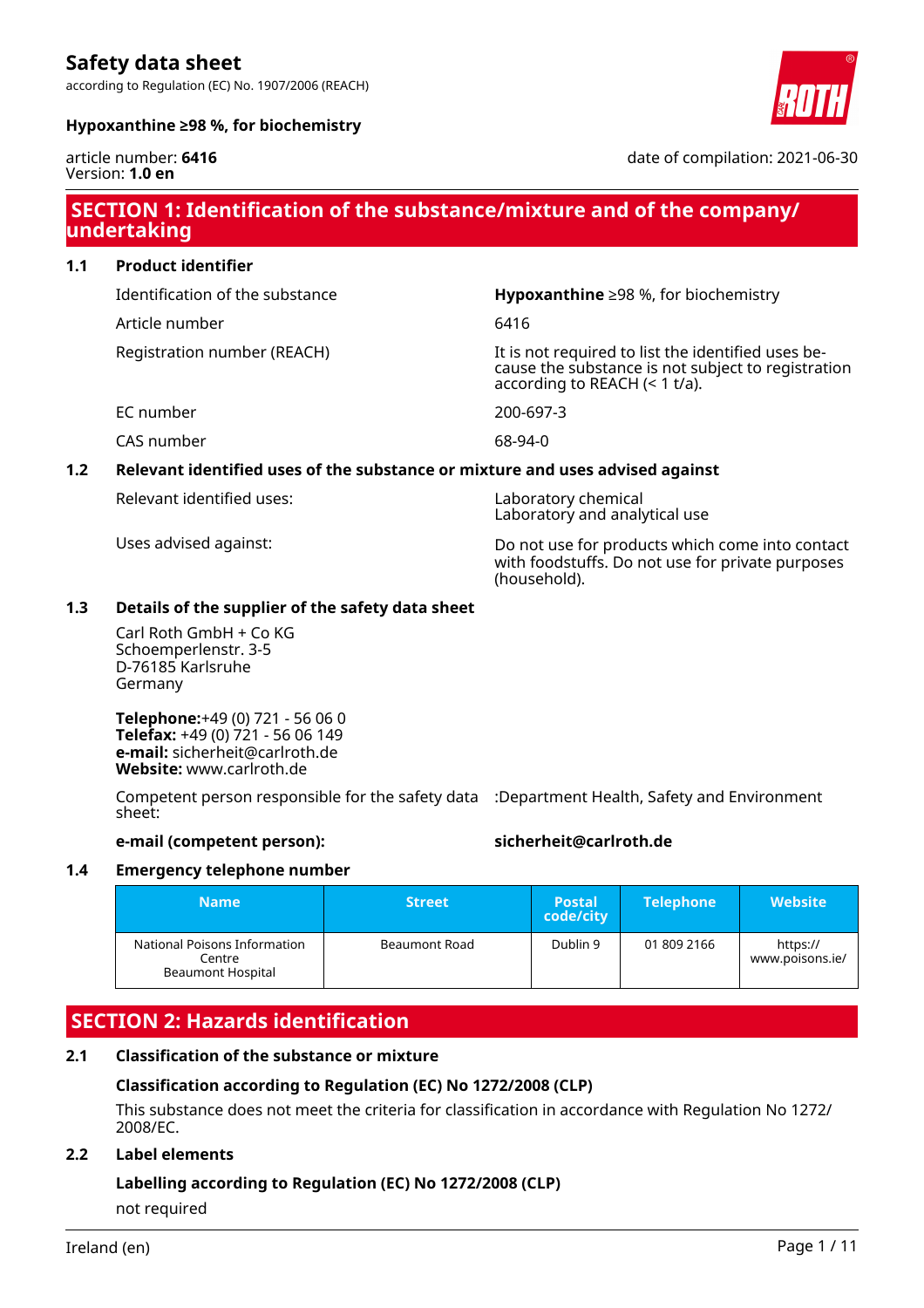according to Regulation (EC) No. 1907/2006 (REACH)



#### **Hypoxanthine ≥98 %, for biochemistry**

#### article number: **6416** Version: **1.0 en**

date of compilation: 2021-06-30

### **SECTION 1: Identification of the substance/mixture and of the company/ undertaking**

#### **1.1 Product identifier**

Identification of the substance **Hypoxanthine** ≥98 %, for biochemistry

Article number 6416

Registration number (REACH) The state of the identified uses be-

cause the substance is not subject to registration according to REACH (< 1 t/a).

EC number 200-697-3

CAS number 68-94-0

#### **1.2 Relevant identified uses of the substance or mixture and uses advised against**

Relevant identified uses: Laboratory chemical

Laboratory and analytical use

Uses advised against: Do not use for products which come into contact with foodstuffs. Do not use for private purposes (household).

### **1.3 Details of the supplier of the safety data sheet**

Carl Roth GmbH + Co KG Schoemperlenstr. 3-5 D-76185 Karlsruhe Germany

**Telephone:**+49 (0) 721 - 56 06 0 **Telefax:** +49 (0) 721 - 56 06 149 **e-mail:** sicherheit@carlroth.de **Website:** www.carlroth.de

Competent person responsible for the safety data :Department Health, Safety and Environment sheet:

#### **e-mail (competent person): sicherheit@carlroth.de**

#### **1.4 Emergency telephone number**

| <b>Name</b>                                                 | <b>Street</b> | <b>Postal</b><br>code/city | <b>Telephone</b> | <b>Website</b>              |
|-------------------------------------------------------------|---------------|----------------------------|------------------|-----------------------------|
| National Poisons Information<br>Centre<br>Beaumont Hospital | Beaumont Road | Dublin 9                   | 01 809 2166      | https://<br>www.poisons.ie/ |

## **SECTION 2: Hazards identification**

#### **2.1 Classification of the substance or mixture**

#### **Classification according to Regulation (EC) No 1272/2008 (CLP)**

This substance does not meet the criteria for classification in accordance with Regulation No 1272/ 2008/EC.

#### **2.2 Label elements**

### **Labelling according to Regulation (EC) No 1272/2008 (CLP)**

not required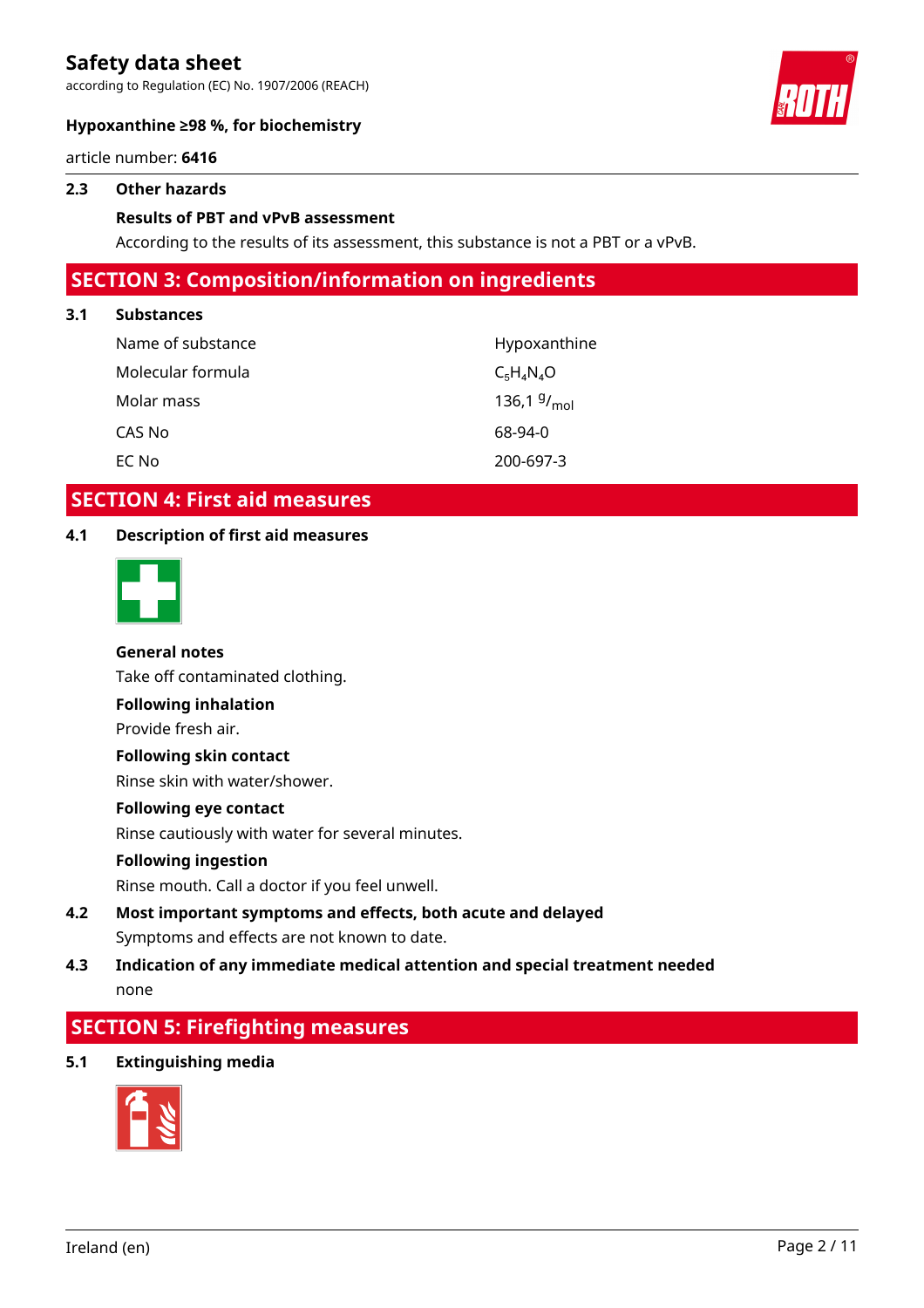according to Regulation (EC) No. 1907/2006 (REACH)



#### **Hypoxanthine ≥98 %, for biochemistry**

article number: **6416**

#### **2.3 Other hazards**

#### **Results of PBT and vPvB assessment**

According to the results of its assessment, this substance is not a PBT or a vPvB.

### **SECTION 3: Composition/information on ingredients**

#### **3.1 Substances**

| Name of substance | Hypoxanthine     |
|-------------------|------------------|
| Molecular formula | $C_5H_4N_4O$     |
| Molar mass        | 136,1 $9/_{mol}$ |
| CAS No            | 68-94-0          |
| EC No             | 200-697-3        |

### **SECTION 4: First aid measures**

#### **4.1 Description of first aid measures**



#### **General notes**

Take off contaminated clothing.

**Following inhalation**

Provide fresh air.

#### **Following skin contact**

Rinse skin with water/shower.

#### **Following eye contact**

Rinse cautiously with water for several minutes.

#### **Following ingestion**

Rinse mouth. Call a doctor if you feel unwell.

### **4.2 Most important symptoms and effects, both acute and delayed** Symptoms and effects are not known to date.

### **4.3 Indication of any immediate medical attention and special treatment needed** none

## **SECTION 5: Firefighting measures**

**5.1 Extinguishing media**

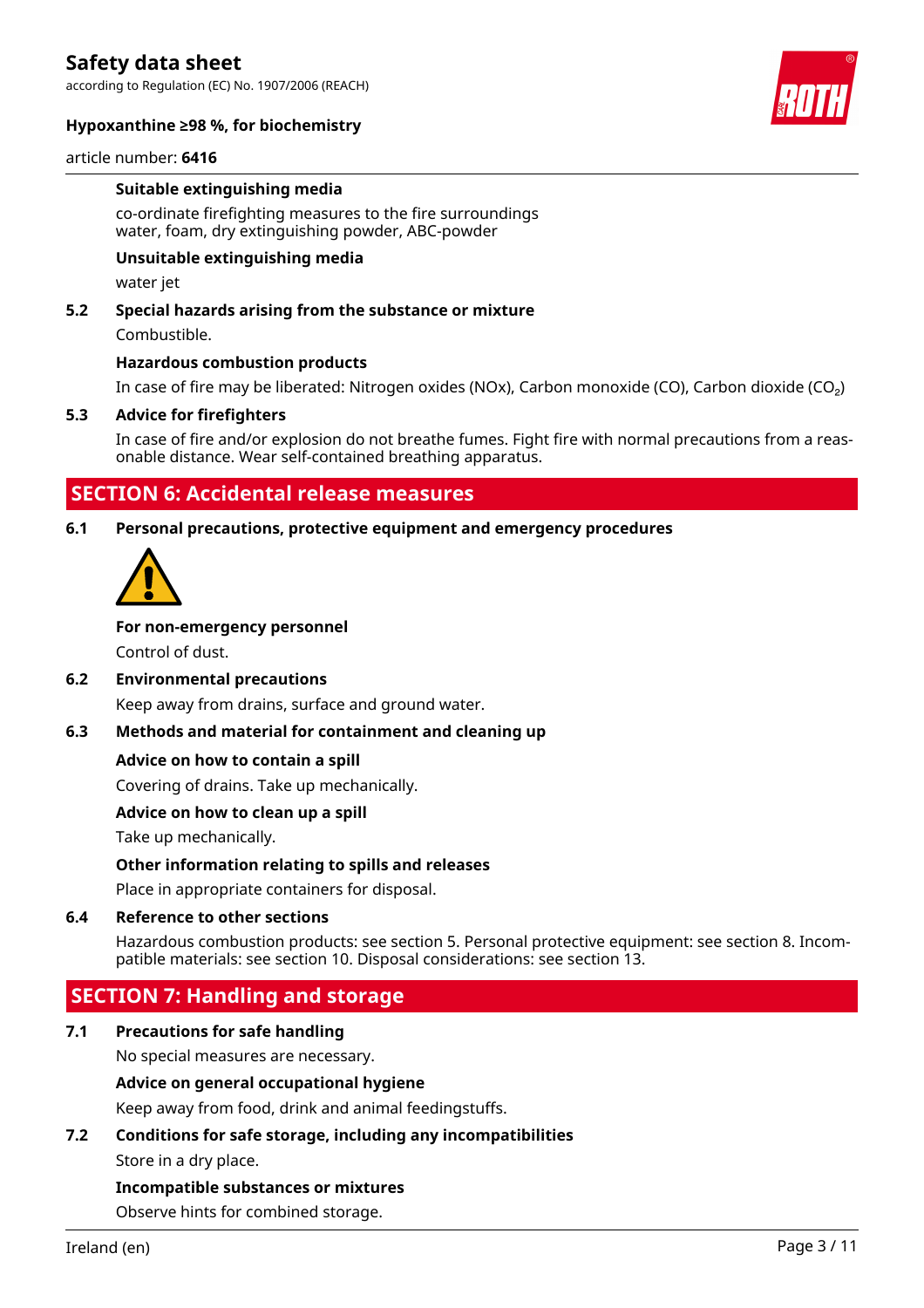according to Regulation (EC) No. 1907/2006 (REACH)



#### **Hypoxanthine ≥98 %, for biochemistry**

article number: **6416**

#### **Suitable extinguishing media**

co-ordinate firefighting measures to the fire surroundings water, foam, dry extinguishing powder, ABC-powder

#### **Unsuitable extinguishing media**

water jet

#### **5.2 Special hazards arising from the substance or mixture**

Combustible.

#### **Hazardous combustion products**

In case of fire may be liberated: Nitrogen oxides (NOx), Carbon monoxide (CO), Carbon dioxide (CO₂)

#### **5.3 Advice for firefighters**

In case of fire and/or explosion do not breathe fumes. Fight fire with normal precautions from a reasonable distance. Wear self-contained breathing apparatus.

### **SECTION 6: Accidental release measures**

#### **6.1 Personal precautions, protective equipment and emergency procedures**



#### **For non-emergency personnel**

Control of dust.

#### **6.2 Environmental precautions**

Keep away from drains, surface and ground water.

#### **6.3 Methods and material for containment and cleaning up**

#### **Advice on how to contain a spill**

Covering of drains. Take up mechanically.

#### **Advice on how to clean up a spill**

Take up mechanically.

#### **Other information relating to spills and releases**

Place in appropriate containers for disposal.

#### **6.4 Reference to other sections**

Hazardous combustion products: see section 5. Personal protective equipment: see section 8. Incompatible materials: see section 10. Disposal considerations: see section 13.

### **SECTION 7: Handling and storage**

#### **7.1 Precautions for safe handling**

No special measures are necessary.

#### **Advice on general occupational hygiene**

Keep away from food, drink and animal feedingstuffs.

### **7.2 Conditions for safe storage, including any incompatibilities**

Store in a dry place.

#### **Incompatible substances or mixtures**

Observe hints for combined storage.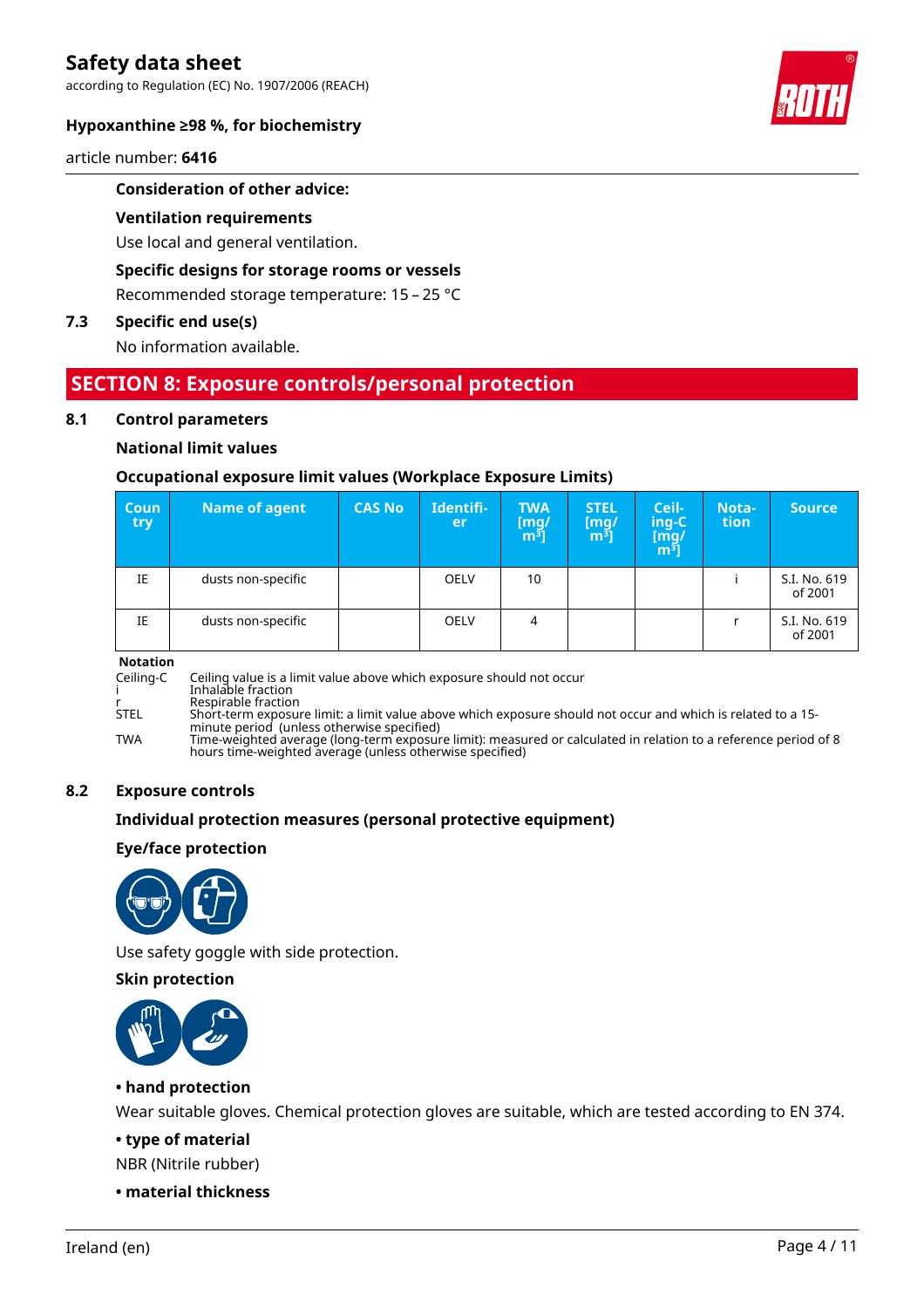according to Regulation (EC) No. 1907/2006 (REACH)



#### **Hypoxanthine ≥98 %, for biochemistry**

article number: **6416**

#### **Consideration of other advice:**

#### **Ventilation requirements**

Use local and general ventilation.

#### **Specific designs for storage rooms or vessels**

Recommended storage temperature: 15 – 25 °C

### **7.3 Specific end use(s)**

No information available.

### **SECTION 8: Exposure controls/personal protection**

#### **8.1 Control parameters**

#### **National limit values**

#### **Occupational exposure limit values (Workplace Exposure Limits)**

| Coun<br>try | <b>Name of agent</b> | <b>CAS No</b> | Identifi-<br>er | <b>TWA</b><br>[mg/<br>m <sup>ɜ</sup> ] | <b>STEL</b><br>[mg]<br>$\mathbf{m}^{\mathbf{3}}$ ] | Ceil-<br>ing-C<br>[m͡g/<br>m͡ <sup>ɜ</sup> ] | Nota-<br>tion | <b>Source</b>           |
|-------------|----------------------|---------------|-----------------|----------------------------------------|----------------------------------------------------|----------------------------------------------|---------------|-------------------------|
| IE          | dusts non-specific   |               | <b>OELV</b>     | 10                                     |                                                    |                                              |               | S.I. No. 619<br>of 2001 |
| IE          | dusts non-specific   |               | <b>OELV</b>     | 4                                      |                                                    |                                              |               | S.I. No. 619<br>of 2001 |

#### **Notation**

Ceiling-C Ceiling value is a limit value above which exposure should not occur i Inhalable fraction

r Respirable fraction STEL Short-term exposure limit: a limit value above which exposure should not occur and which is related to a 15-

minute period (unless otherwise specified) TWA Time-weighted average (long-term exposure limit): measured or calculated in relation to a reference period of 8 hours time-weighted average (unless otherwise specified)

#### **8.2 Exposure controls**

#### **Individual protection measures (personal protective equipment)**

#### **Eye/face protection**



Use safety goggle with side protection.

**Skin protection**



#### **• hand protection**

Wear suitable gloves. Chemical protection gloves are suitable, which are tested according to EN 374.

**• type of material**

NBR (Nitrile rubber)

**• material thickness**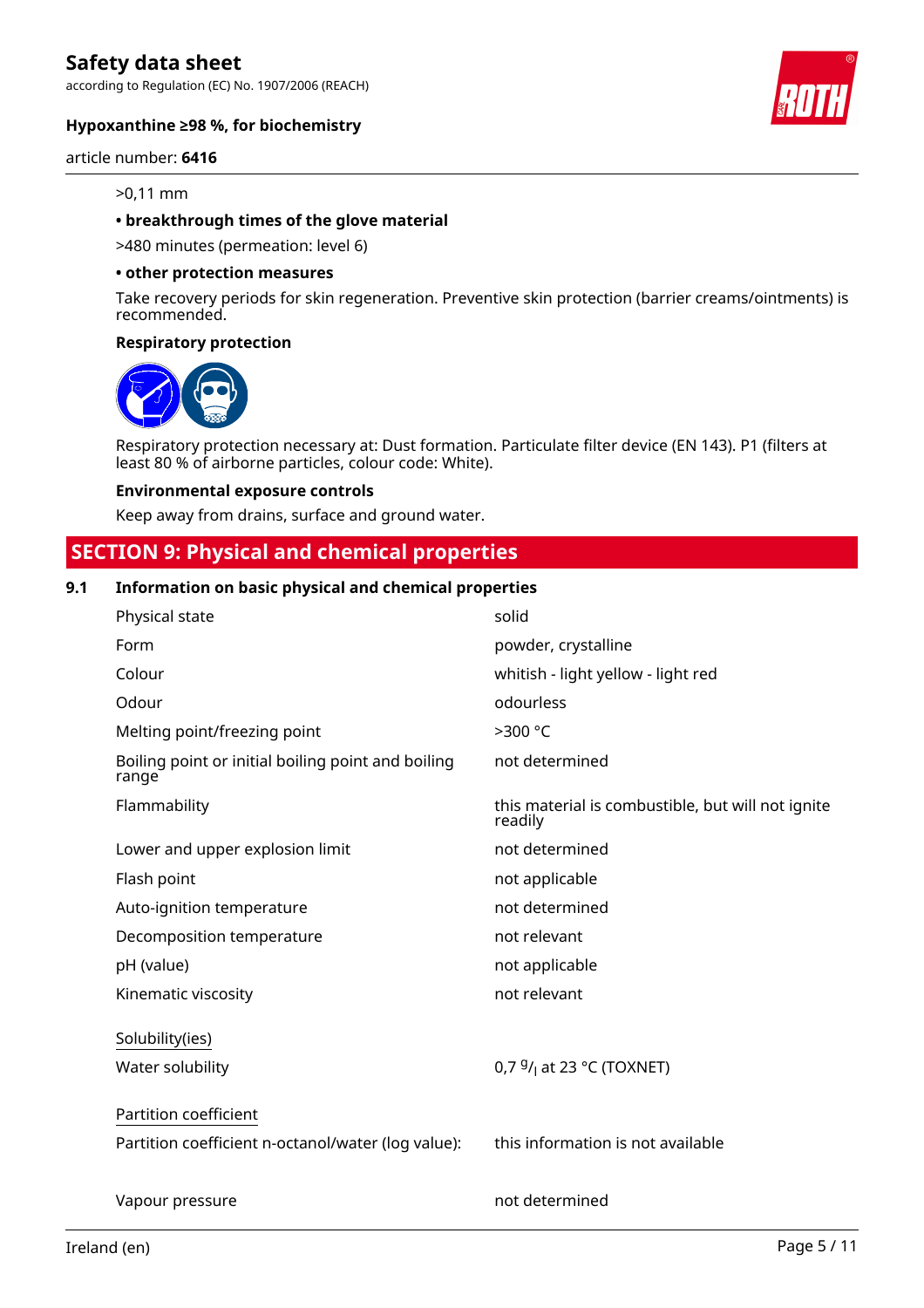according to Regulation (EC) No. 1907/2006 (REACH)

#### **Hypoxanthine ≥98 %, for biochemistry**

#### article number: **6416**

#### >0,11 mm

#### **• breakthrough times of the glove material**

>480 minutes (permeation: level 6)

#### **• other protection measures**

Take recovery periods for skin regeneration. Preventive skin protection (barrier creams/ointments) is recommended.

#### **Respiratory protection**



Respiratory protection necessary at: Dust formation. Particulate filter device (EN 143). P1 (filters at least 80 % of airborne particles, colour code: White).

#### **Environmental exposure controls**

Keep away from drains, surface and ground water.

### **SECTION 9: Physical and chemical properties**

#### **9.1 Information on basic physical and chemical properties**

| Physical state                                              | solid                                                        |
|-------------------------------------------------------------|--------------------------------------------------------------|
| Form                                                        | powder, crystalline                                          |
| Colour                                                      | whitish - light yellow - light red                           |
| Odour                                                       | odourless                                                    |
| Melting point/freezing point                                | >300 °C                                                      |
| Boiling point or initial boiling point and boiling<br>range | not determined                                               |
| Flammability                                                | this material is combustible, but will not ignite<br>readily |
| Lower and upper explosion limit                             | not determined                                               |
| Flash point                                                 | not applicable                                               |
| Auto-ignition temperature                                   | not determined                                               |
| Decomposition temperature                                   | not relevant                                                 |
| pH (value)                                                  | not applicable                                               |
| Kinematic viscosity                                         | not relevant                                                 |
| Solubility(ies)                                             |                                                              |
| Water solubility                                            | 0,7 $9/1$ at 23 °C (TOXNET)                                  |
| Partition coefficient                                       |                                                              |
| Partition coefficient n-octanol/water (log value):          | this information is not available                            |
| Vapour pressure                                             | not determined                                               |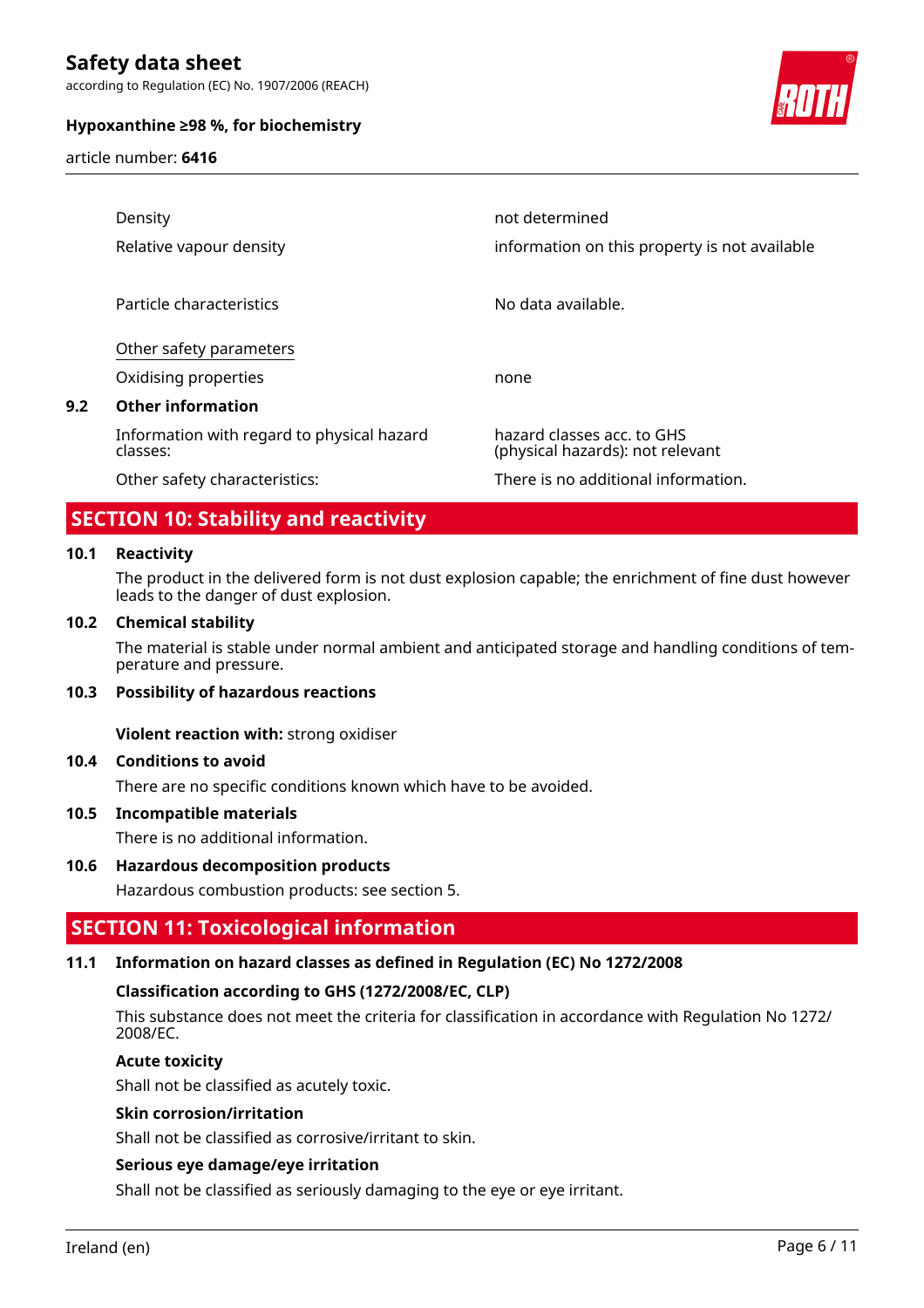according to Regulation (EC) No. 1907/2006 (REACH)

#### **Hypoxanthine ≥98 %, for biochemistry**

article number: **6416**



|     | Density                                                | not determined                                                 |
|-----|--------------------------------------------------------|----------------------------------------------------------------|
|     | Relative vapour density                                | information on this property is not available                  |
|     |                                                        |                                                                |
|     | Particle characteristics                               | No data available.                                             |
|     | Other safety parameters                                |                                                                |
|     | Oxidising properties                                   | none                                                           |
| 9.2 | <b>Other information</b>                               |                                                                |
|     | Information with regard to physical hazard<br>classes: | hazard classes acc. to GHS<br>(physical hazards): not relevant |
|     | Other safety characteristics:                          | There is no additional information.                            |

### **SECTION 10: Stability and reactivity**

#### **10.1 Reactivity**

The product in the delivered form is not dust explosion capable; the enrichment of fine dust however leads to the danger of dust explosion.

#### **10.2 Chemical stability**

The material is stable under normal ambient and anticipated storage and handling conditions of temperature and pressure.

#### **10.3 Possibility of hazardous reactions**

**Violent reaction with:** strong oxidiser

#### **10.4 Conditions to avoid**

There are no specific conditions known which have to be avoided.

#### **10.5 Incompatible materials**

There is no additional information.

#### **10.6 Hazardous decomposition products**

Hazardous combustion products: see section 5.

### **SECTION 11: Toxicological information**

#### **11.1 Information on hazard classes as defined in Regulation (EC) No 1272/2008**

#### **Classification according to GHS (1272/2008/EC, CLP)**

This substance does not meet the criteria for classification in accordance with Regulation No 1272/ 2008/EC.

#### **Acute toxicity**

Shall not be classified as acutely toxic.

#### **Skin corrosion/irritation**

Shall not be classified as corrosive/irritant to skin.

#### **Serious eye damage/eye irritation**

Shall not be classified as seriously damaging to the eye or eye irritant.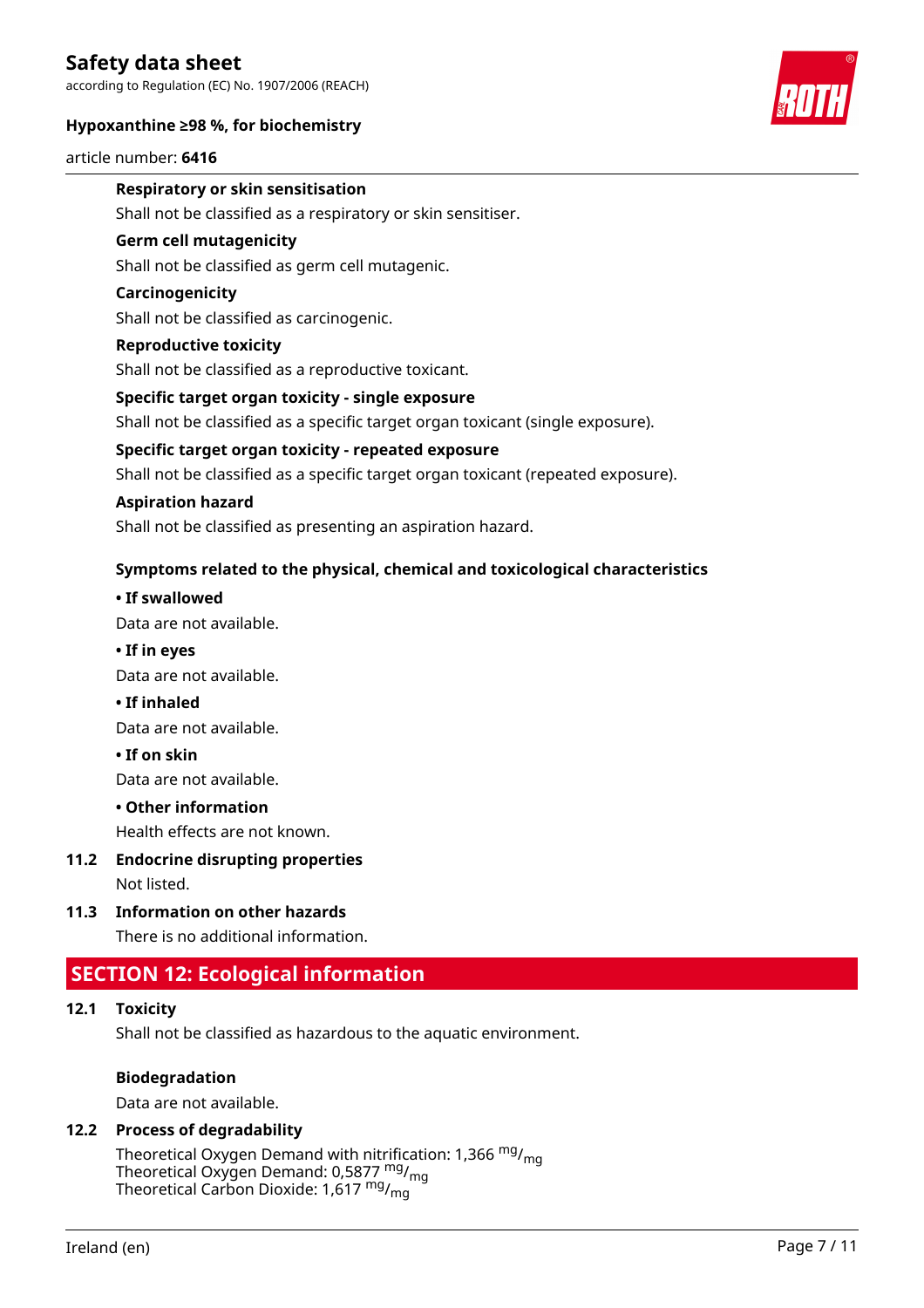according to Regulation (EC) No. 1907/2006 (REACH)

#### **Hypoxanthine ≥98 %, for biochemistry**





#### **Respiratory or skin sensitisation**

Shall not be classified as a respiratory or skin sensitiser.

#### **Germ cell mutagenicity**

Shall not be classified as germ cell mutagenic.

#### **Carcinogenicity**

Shall not be classified as carcinogenic.

#### **Reproductive toxicity**

Shall not be classified as a reproductive toxicant.

#### **Specific target organ toxicity - single exposure**

Shall not be classified as a specific target organ toxicant (single exposure).

#### **Specific target organ toxicity - repeated exposure**

Shall not be classified as a specific target organ toxicant (repeated exposure).

#### **Aspiration hazard**

Shall not be classified as presenting an aspiration hazard.

#### **Symptoms related to the physical, chemical and toxicological characteristics**

#### **• If swallowed**

Data are not available.

#### **• If in eyes**

Data are not available.

**• If inhaled**

Data are not available.

**• If on skin**

Data are not available.

#### **• Other information**

Health effects are not known.

**11.2 Endocrine disrupting properties**

Not listed.

**11.3 Information on other hazards**

There is no additional information.

### **SECTION 12: Ecological information**

#### **12.1 Toxicity**

Shall not be classified as hazardous to the aquatic environment.

#### **Biodegradation**

Data are not available.

### **12.2 Process of degradability**

Theoretical Oxygen Demand with nitrification: 1,366  $mg/m<sub>g</sub>$ Theoretical Oxygen Demand: 0,5877 mg/mg Theoretical Carbon Dioxide: 1,617 mg/mg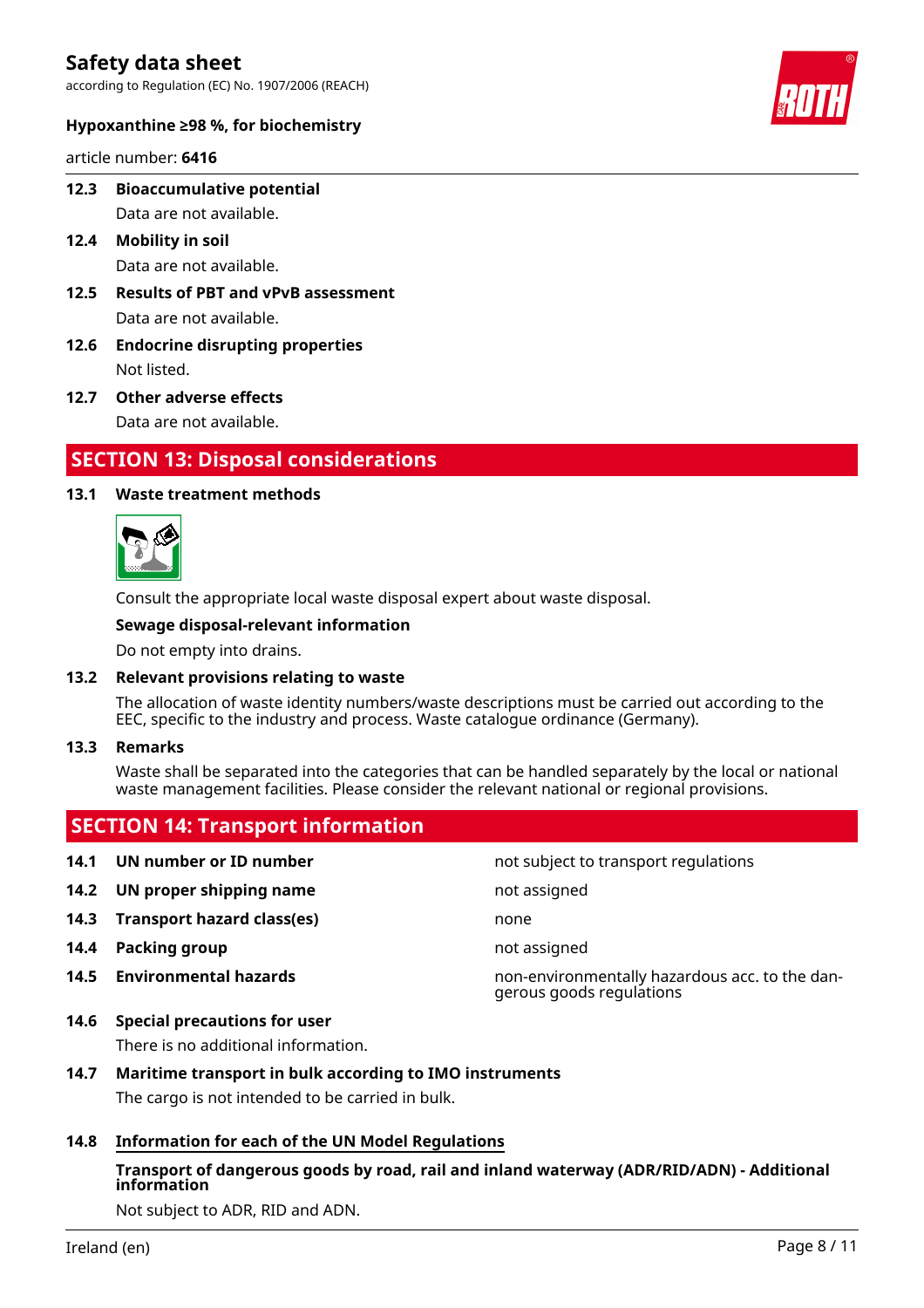according to Regulation (EC) No. 1907/2006 (REACH)



#### **Hypoxanthine ≥98 %, for biochemistry**

article number: **6416**

**12.3 Bioaccumulative potential**

Data are not available.

- **12.4 Mobility in soil** Data are not available.
- **12.5 Results of PBT and vPvB assessment** Data are not available.
- **12.6 Endocrine disrupting properties** Not listed.
- **12.7 Other adverse effects** Data are not available.

### **SECTION 13: Disposal considerations**

#### **13.1 Waste treatment methods**



Consult the appropriate local waste disposal expert about waste disposal.

#### **Sewage disposal-relevant information**

Do not empty into drains.

#### **13.2 Relevant provisions relating to waste**

 **SECTION 14: Transport information**

The allocation of waste identity numbers/waste descriptions must be carried out according to the EEC, specific to the industry and process. Waste catalogue ordinance (Germany).

#### **13.3 Remarks**

Waste shall be separated into the categories that can be handled separately by the local or national waste management facilities. Please consider the relevant national or regional provisions.

|      | <b>SECTION 14. Hansport Information</b> |                                                                            |
|------|-----------------------------------------|----------------------------------------------------------------------------|
| 14.1 | UN number or ID number                  | not subject to transport regulations                                       |
| 14.2 | UN proper shipping name                 | not assigned                                                               |
| 14.3 | <b>Transport hazard class(es)</b>       | none                                                                       |
| 14.4 | Packing group                           | not assigned                                                               |
|      | <b>14.5</b> Environmental hazards       | non-environmentally hazardous acc. to the dan-<br>gerous goods regulations |
|      |                                         |                                                                            |

#### **14.6 Special precautions for user**

There is no additional information.

#### **14.7 Maritime transport in bulk according to IMO instruments**

The cargo is not intended to be carried in bulk.

#### **14.8 Information for each of the UN Model Regulations**

#### **Transport of dangerous goods by road, rail and inland waterway (ADR/RID/ADN) - Additional information**

Not subject to ADR, RID and ADN.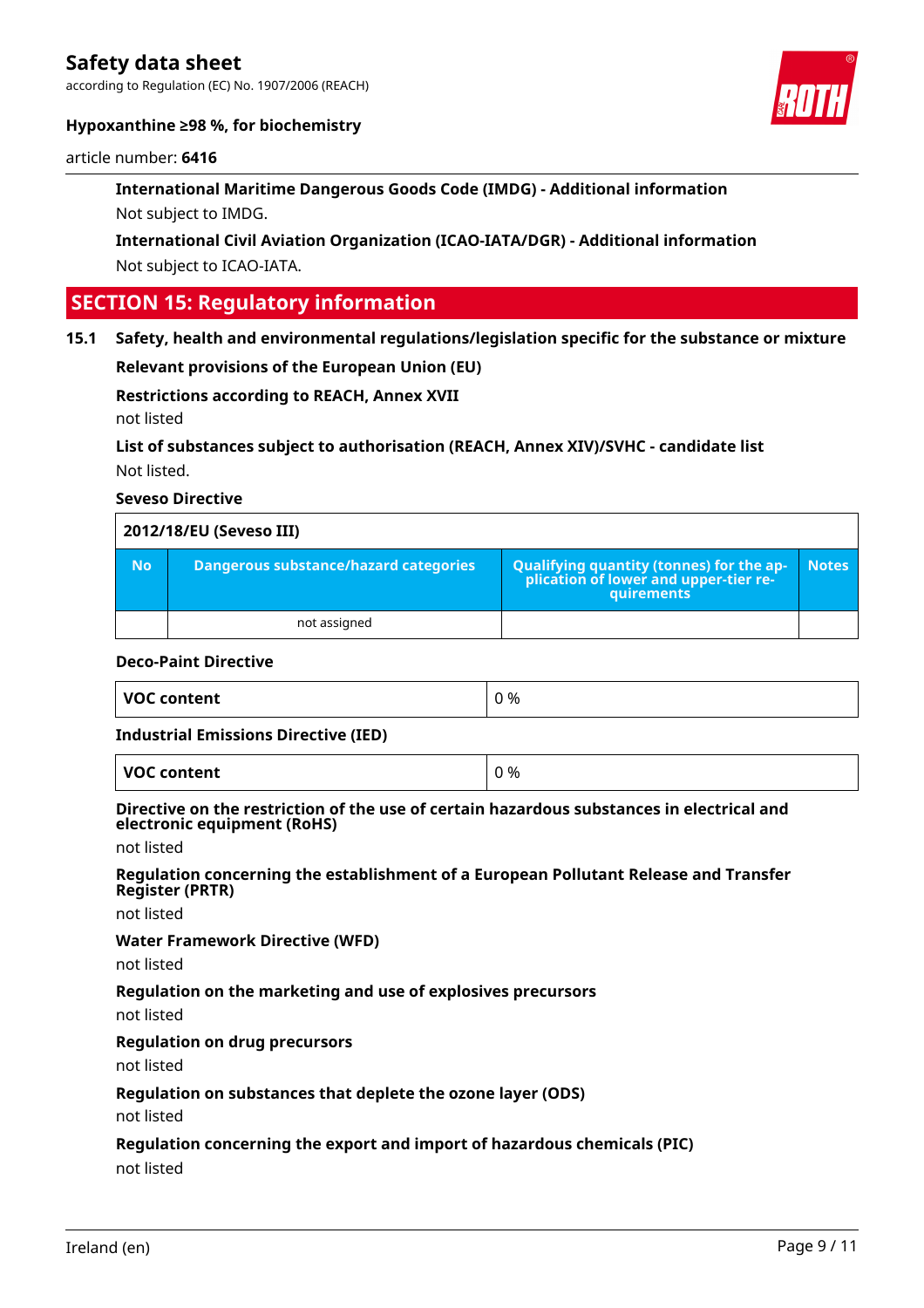according to Regulation (EC) No. 1907/2006 (REACH)



#### **Hypoxanthine ≥98 %, for biochemistry**

#### article number: **6416**

**International Maritime Dangerous Goods Code (IMDG) - Additional information** Not subject to IMDG.

**International Civil Aviation Organization (ICAO-IATA/DGR) - Additional information** Not subject to ICAO-IATA.

### **SECTION 15: Regulatory information**

#### **15.1 Safety, health and environmental regulations/legislation specific for the substance or mixture**

**Relevant provisions of the European Union (EU)**

#### **Restrictions according to REACH, Annex XVII**

not listed

### **List of substances subject to authorisation (REACH, Annex XIV)/SVHC - candidate list** Not listed.

#### **Seveso Directive**

|           | 2012/18/EU (Seveso III)                      |                                                               |              |
|-----------|----------------------------------------------|---------------------------------------------------------------|--------------|
| <b>No</b> | <b>Dangerous substance/hazard categories</b> | Qualifying quantity (tonnes) for the ap-<br><b>quirements</b> | <b>Notes</b> |
|           | not assigned                                 |                                                               |              |

#### **Deco-Paint Directive**

|  | VOC content | %<br>$\cdot$ . |  |
|--|-------------|----------------|--|
|--|-------------|----------------|--|

#### **Industrial Emissions Directive (IED)**

**VOC content**  $\begin{array}{ccc} \mid & 0 \leq 0 \end{array}$ 

#### **Directive on the restriction of the use of certain hazardous substances in electrical and electronic equipment (RoHS)**

not listed

#### **Regulation concerning the establishment of a European Pollutant Release and Transfer Register (PRTR)**

not listed

#### **Water Framework Directive (WFD)**

not listed

#### **Regulation on the marketing and use of explosives precursors**

not listed

#### **Regulation on drug precursors**

not listed

#### **Regulation on substances that deplete the ozone layer (ODS)**

not listed

#### **Regulation concerning the export and import of hazardous chemicals (PIC)**

not listed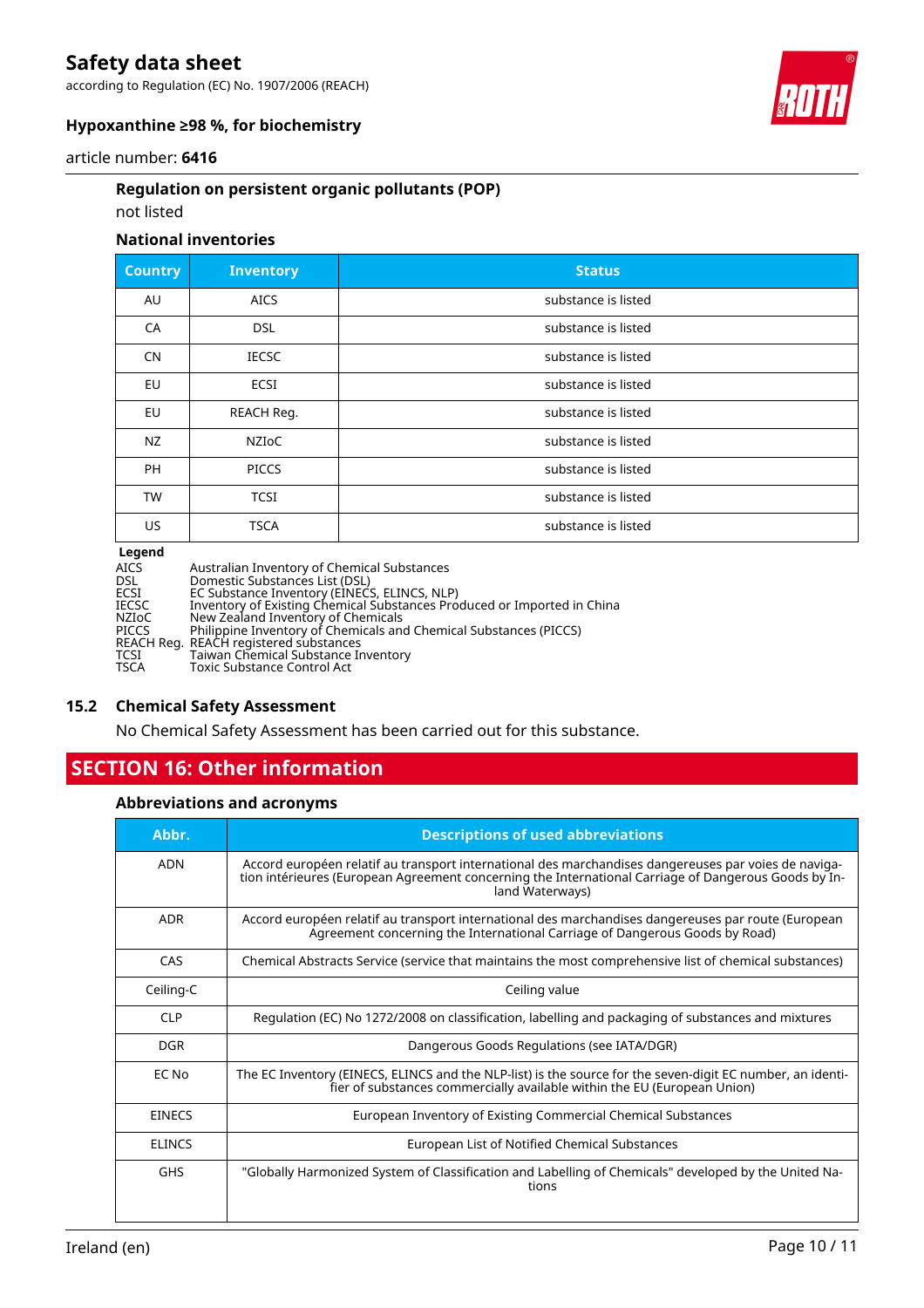according to Regulation (EC) No. 1907/2006 (REACH)



### **Hypoxanthine ≥98 %, for biochemistry**

#### article number: **6416**

#### **Regulation on persistent organic pollutants (POP)**

#### not listed

#### **National inventories**

| <b>Country</b> | <b>Inventory</b> | <b>Status</b>       |
|----------------|------------------|---------------------|
| AU             | <b>AICS</b>      | substance is listed |
| CA             | <b>DSL</b>       | substance is listed |
| CN             | <b>IECSC</b>     | substance is listed |
| EU             | <b>ECSI</b>      | substance is listed |
| EU             | REACH Req.       | substance is listed |
| <b>NZ</b>      | NZIoC            | substance is listed |
| PH             | <b>PICCS</b>     | substance is listed |
| <b>TW</b>      | <b>TCSI</b>      | substance is listed |
| US             | <b>TSCA</b>      | substance is listed |
| hnana l        |                  |                     |

#### **Legend**

| Legena |                                                                         |
|--------|-------------------------------------------------------------------------|
| AICS   | Australian Inventory of Chemical Substances                             |
| DSL    | Domestic Substances List (DSL)                                          |
| ECSI   | EC Substance Inventory (EINECS, ELINCS, NLP)                            |
| IECSC  | Inventory of Existing Chemical Substances Produced or Imported in China |
| NZIoC  | New Zealand Inventory of Chemicals                                      |
| PICCS  | Philippine Inventory of Chemicals and Chemical Substances (PICCS)       |
|        | REACH Reg. REACH registered substances                                  |
| TCSI   | Taiwan Chemical Substance Inventory                                     |
| TSCA   | <b>Toxic Substance Control Act</b>                                      |
|        |                                                                         |

#### **15.2 Chemical Safety Assessment**

No Chemical Safety Assessment has been carried out for this substance.

### **SECTION 16: Other information**

#### **Abbreviations and acronyms**

| Abbr.         | <b>Descriptions of used abbreviations</b>                                                                                                                                                                                       |
|---------------|---------------------------------------------------------------------------------------------------------------------------------------------------------------------------------------------------------------------------------|
| <b>ADN</b>    | Accord européen relatif au transport international des marchandises dangereuses par voies de naviga-<br>tion intérieures (European Agreement concerning the International Carriage of Dangerous Goods by In-<br>land Waterways) |
| <b>ADR</b>    | Accord européen relatif au transport international des marchandises dangereuses par route (European<br>Agreement concerning the International Carriage of Dangerous Goods by Road)                                              |
| CAS           | Chemical Abstracts Service (service that maintains the most comprehensive list of chemical substances)                                                                                                                          |
| Ceiling-C     | Ceiling value                                                                                                                                                                                                                   |
| <b>CLP</b>    | Regulation (EC) No 1272/2008 on classification, labelling and packaging of substances and mixtures                                                                                                                              |
| <b>DGR</b>    | Dangerous Goods Regulations (see IATA/DGR)                                                                                                                                                                                      |
| EC No         | The EC Inventory (EINECS, ELINCS and the NLP-list) is the source for the seven-digit EC number, an identi-<br>fier of substances commercially available within the EU (European Union)                                          |
| <b>EINECS</b> | European Inventory of Existing Commercial Chemical Substances                                                                                                                                                                   |
| <b>ELINCS</b> | European List of Notified Chemical Substances                                                                                                                                                                                   |
| <b>GHS</b>    | "Globally Harmonized System of Classification and Labelling of Chemicals" developed by the United Na-<br>tions                                                                                                                  |